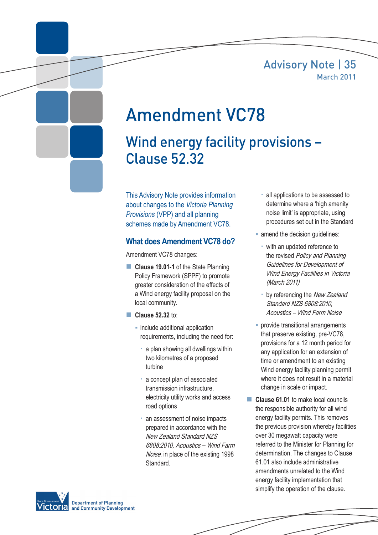### Advisory Note | 35 March 2011



# Amendment VC78

## Wind energy facility provisions – Clause 52.32

This Advisory Note provides information about changes to the *Victoria Planning Provisions* (VPP) and all planning schemes made by Amendment VC78.

#### **What does Amendment VC78 do?**

Amendment VC78 changes:

- **Clause 19.01-1** of the State Planning Policy Framework (SPPF) to promote greater consideration of the effects of a Wind energy facility proposal on the local community.
- **Clause 52.32 to:** 
	- **E** include additional application requirements, including the need for:
		- a plan showing all dwellings within two kilometres of a proposed turbine
		- a concept plan of associated transmission infrastructure, electricity utility works and access road options
		- an assessment of noise impacts prepared in accordance with the New Zealand Standard NZS 6808:2010, Acoustics – Wind Farm Noise, in place of the existing 1998 Standard.
- all applications to be assessed to determine where a 'high amenity noise limit' is appropriate, using procedures set out in the Standard
- **amend the decision quidelines:** 
	- with an updated reference to the revised Policy and Planning Guidelines for Development of Wind Energy Facilities in Victoria (March 2011)
	- by referencing the New Zealand Standard NZS 6808:2010, Acoustics – Wind Farm Noise
- **provide transitional arrangements** that preserve existing, pre-VC78, provisions for a 12 month period for any application for an extension of time or amendment to an existing Wind energy facility planning permit where it does not result in a material change in scale or impact.
- **Clause 61.01** to make local councils the responsible authority for all wind energy facility permits. This removes the previous provision whereby facilities over 30 megawatt capacity were referred to the Minister for Planning for determination. The changes to Clause 61.01 also include administrative amendments unrelated to the Wind energy facility implementation that simplify the operation of the clause.

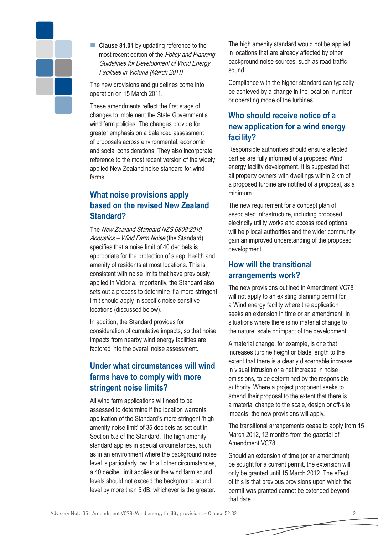

■ **Clause 81.01** by updating reference to the most recent edition of the Policy and Planning Guidelines for Development of Wind Energy Facilities in Victoria (March 2011).

The new provisions and guidelines come into operation on 15 March 2011.

These amendments reflect the first stage of changes to implement the State Government's wind farm policies. The changes provide for greater emphasis on a balanced assessment of proposals across environmental, economic and social considerations. They also incorporate reference to the most recent version of the widely applied New Zealand noise standard for wind farms.

#### **What noise provisions apply based on the revised New Zealand Standard?**

The New Zealand Standard NZS 6808:2010, Acoustics – Wind Farm Noise (the Standard) specifies that a noise limit of 40 decibels is appropriate for the protection of sleep, health and amenity of residents at most locations. This is consistent with noise limits that have previously applied in Victoria. Importantly, the Standard also sets out a process to determine if a more stringent limit should apply in specific noise sensitive locations (discussed below).

In addition, the Standard provides for consideration of cumulative impacts, so that noise impacts from nearby wind energy facilities are factored into the overall noise assessment.

#### **Under what circumstances will wind farms have to comply with more stringent noise limits?**

All wind farm applications will need to be assessed to determine if the location warrants application of the Standard's more stringent 'high amenity noise limit' of 35 decibels as set out in Section 5.3 of the Standard. The high amenity standard applies in special circumstances, such as in an environment where the background noise level is particularly low. In all other circumstances, a 40 decibel limit applies or the wind farm sound levels should not exceed the background sound level by more than 5 dB, whichever is the greater.

The high amenity standard would not be applied in locations that are already affected by other background noise sources, such as road traffic sound.

Compliance with the higher standard can typically be achieved by a change in the location, number or operating mode of the turbines.

#### **Who should receive notice of a new application for a wind energy facility?**

Responsible authorities should ensure affected parties are fully informed of a proposed Wind energy facility development. It is suggested that all property owners with dwellings within 2 km of a proposed turbine are notified of a proposal, as a minimum.

The new requirement for a concept plan of associated infrastructure, including proposed electricity utility works and access road options, will help local authorities and the wider community gain an improved understanding of the proposed development.

#### **How will the transitional arrangements work?**

The new provisions outlined in Amendment VC78 will not apply to an existing planning permit for a Wind energy facility where the application seeks an extension in time or an amendment, in situations where there is no material change to the nature, scale or impact of the development.

A material change, for example, is one that increases turbine height or blade length to the extent that there is a clearly discernable increase in visual intrusion or a net increase in noise emissions, to be determined by the responsible authority. Where a project proponent seeks to amend their proposal to the extent that there is a material change to the scale, design or off-site impacts, the new provisions will apply.

The transitional arrangements cease to apply from 15 March 2012, 12 months from the gazettal of Amendment VC78.

Should an extension of time (or an amendment) be sought for a current permit, the extension will only be granted until 15 March 2012. The effect of this is that previous provisions upon which the permit was granted cannot be extended beyond that date.